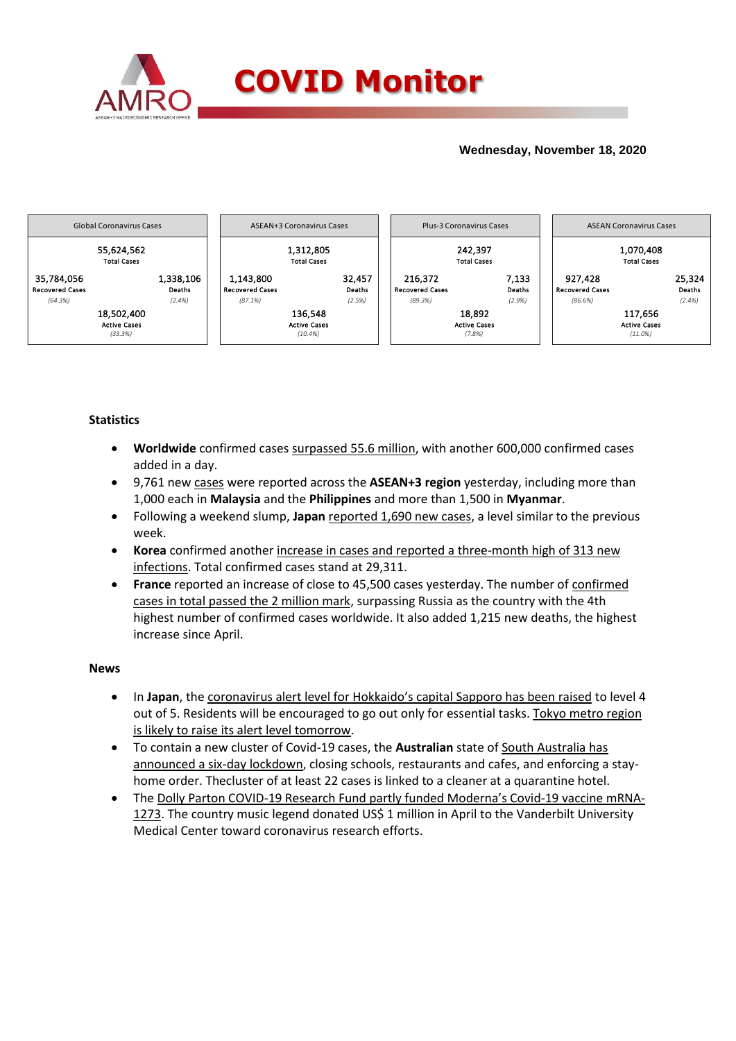

## **Wednesday, November 18, 2020**



### **Statistics**

- **Worldwide** confirmed cases surpassed 55.6 million, with another 600,000 confirmed cases added in a day.
- 9,761 new cases were reported across the **ASEAN+3 region** yesterday, including more than 1,000 each in **Malaysia** and the **Philippines** and more than 1,500 in **Myanmar**.
- Following a weekend slump, **Japan** reported 1,690 new cases, a level similar to the previous week.
- **Korea** confirmed another increase in cases and reported a three-month high of 313 new infections. Total confirmed cases stand at 29,311.
- **France** reported an increase of close to 45,500 cases yesterday. The number of confirmed cases in total passed the 2 million mark, surpassing Russia as the country with the 4th highest number of confirmed cases worldwide. It also added 1,215 new deaths, the highest increase since April.

### **News**

- In **Japan**, the coronavirus alert level for Hokkaido's capital Sapporo has been raised to level 4 out of 5. Residents will be encouraged to go out only for essential tasks. Tokyo metro region is likely to raise its alert level tomorrow.
- To contain a new cluster of Covid-19 cases, the **Australian** state of South Australia has announced a six-day lockdown, closing schools, restaurants and cafes, and enforcing a stayhome order. Thecluster of at least 22 cases is linked to a cleaner at a quarantine hotel.
- The Dolly Parton COVID-19 Research Fund partly funded Moderna's Covid-19 vaccine mRNA-1273. The country music legend donated US\$ 1 million in April to the Vanderbilt University Medical Center toward coronavirus research efforts.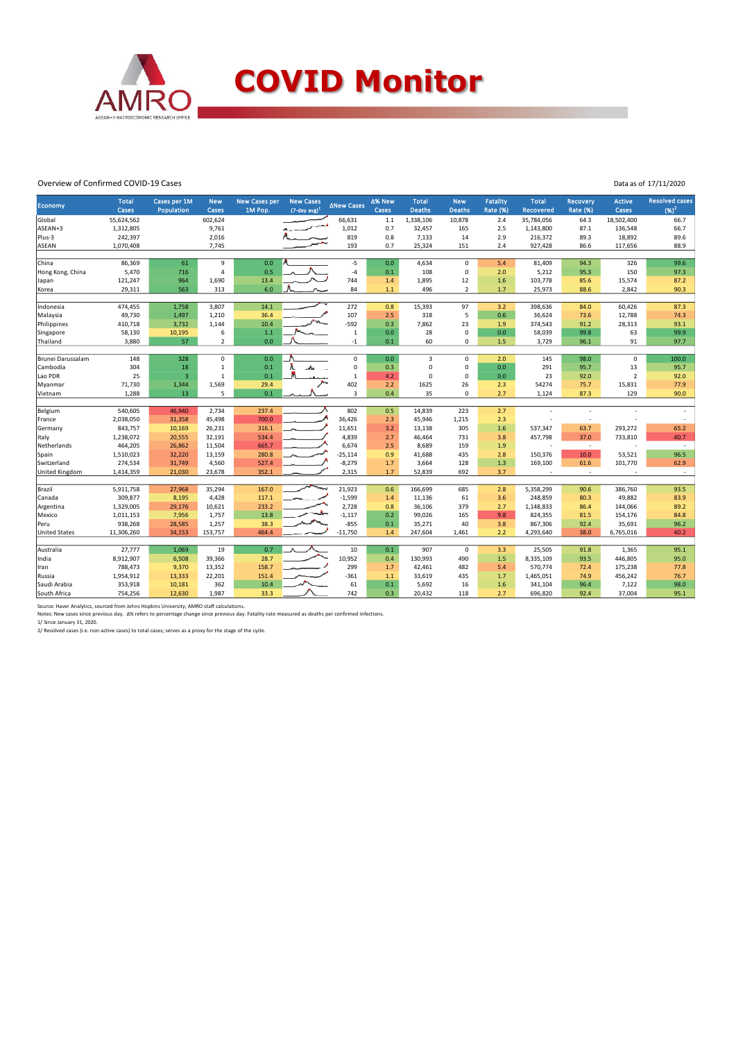

#### Overview of Confirmed COVID-19 Cases

| Data as of 17/11/2020 |
|-----------------------|
|                       |

| <b>Economy</b>       | <b>Total</b> | Cases per 1M     | <b>New</b>     | <b>New Cases per</b> | <b>New Cases</b>   | <b>∆New Cases</b> | ∆% New | <b>Total</b>     | <b>New</b>     | Fatality        | <b>Total</b>             | <b>Recovery</b> | Active         | <b>Resolved cases</b>    |
|----------------------|--------------|------------------|----------------|----------------------|--------------------|-------------------|--------|------------------|----------------|-----------------|--------------------------|-----------------|----------------|--------------------------|
|                      | Cases        | Population       | Cases          | 1M Pop.              | $(7$ -day avg) $1$ |                   | Cases  | <b>Deaths</b>    | <b>Deaths</b>  | <b>Rate (%)</b> | <b>Recovered</b>         | <b>Rate (%)</b> | Cases          | $(96)^2$                 |
| Global               | 55,624,562   |                  | 602,624        |                      |                    | 66,631            | $1.1$  | 1,338,106        | 10,878         | 2.4             | 35,784,056               | 64.3            | 18,502,400     | 66.7                     |
| ASEAN+3              | 1,312,805    |                  | 9,761          |                      |                    | 1,012             | 0.7    | 32,457           | 165            | 2.5             | 1,143,800                | 87.1            | 136,548        | 66.7                     |
| Plus-3               | 242,397      |                  | 2,016          |                      |                    | 819               | 0.8    | 7,133            | 14             | 2.9             | 216,372                  | 89.3            | 18,892         | 89.6                     |
| <b>ASEAN</b>         | 1,070,408    |                  | 7,745          |                      |                    | 193               | 0.7    | 25,324           | 151            | 2.4             | 927,428                  | 86.6            | 117,656        | 88.9                     |
| China                | 86,369       | 61               | 9              | 0.0                  |                    | $-5$              | 0.0    | 4,634            | $\mathbf 0$    | 5.4             | 81,409                   | 94.3            | 326            | 99.6                     |
| Hong Kong, China     | 5,470        | 716              | 4              | 0.5                  |                    | $-4$              | 0.1    | 108              | $\mathbf 0$    | 2.0             | 5,212                    | 95.3            | 150            | 97.3                     |
| Japan                | 121,247      | 964              | 1,690          | 13.4                 |                    | 744               | 1.4    | 1,895            | 12             | 1.6             | 103,778                  | 85.6            | 15,574         | 87.2                     |
| Korea                | 29,311       | 563              | 313            | 6.0                  |                    | 84                | $1.1$  | 496              | $\overline{2}$ | 1.7             | 25,973                   | 88.6            | 2,842          | 90.3                     |
|                      |              |                  |                |                      |                    |                   |        |                  |                |                 |                          |                 |                |                          |
| Indonesia            | 474,455      | 1,758            | 3,807          | 14.1                 |                    | 272               | 0.8    | 15,393           | 97             | 3.2             | 398,636                  | 84.0            | 60,426         | 87.3                     |
| Malaysia             | 49,730       | 1,497            | 1,210          | 36.4                 |                    | 107               | 2.5    | 318              | 5              | 0.6             | 36,624                   | 73.6            | 12,788         | 74.3                     |
| Philippines          | 410,718      | 3,732            | 1,144          | 10.4                 |                    | -592              | 0.3    | 7,862            | 23             | 1.9             | 374,543                  | 91.2            | 28,313         | 93.1                     |
| Singapore            | 58,130       | 10,195           | 6              | $1.1$                |                    | $\,1\,$           | 0.0    | 28               | $\mathsf 0$    | 0.0             | 58,039                   | 99.8            | 63             | 99.9                     |
| Thailand             | 3,880        | 57               | $\overline{2}$ | 0.0                  |                    | $^{\rm -1}$       | 0.1    | 60               | $\mathbf 0$    | 1.5             | 3,729                    | 96.1            | 91             | 97.7                     |
|                      |              |                  |                |                      |                    |                   |        |                  |                |                 |                          |                 |                |                          |
| Brunei Darussalam    | 148          | 328              | $\mathbf 0$    | 0.0                  |                    | 0                 | 0.0    | 3                | $\mathbf 0$    | 2.0             | 145                      | 98.0            | 0              | 100.0                    |
| Cambodia             | 304          | 18               | $\mathbf{1}$   | 0.1                  |                    | 0                 | 0.3    | $\mathbf 0$      | $\mathsf 0$    | 0.0             | 291                      | 95.7            | 13             | 95.7                     |
| Lao PDR              | 25           | $\overline{3}$   | $\mathbf 1$    | 0.1                  |                    | $\,1\,$           | 4.2    | $\Omega$         | $\mathsf 0$    | 0.0             | 23                       | 92.0            | $\overline{2}$ | 92.0                     |
| Myanmar              | 71,730       | 1,344            | 1,569          | 29.4                 |                    | 402               | 2.2    | 1625             | 26             | 2.3             | 54274                    | 75.7            | 15,831         | 77.9                     |
| Vietnam              | 1,288        | 13               | 5              | 0.1                  |                    | 3                 | 0.4    | 35               | $\mathbf 0$    | 2.7             | 1,124                    | 87.3            | 129            | 90.0                     |
|                      | 540,605      |                  | 2,734          | 237.4                |                    | 802               | 0.5    |                  | 223            | 2.7             |                          |                 |                |                          |
| Belgium<br>France    | 2,038,050    | 46,940<br>31,358 | 45,498         | 700.0                |                    | 36,426            | 2.3    | 14,839<br>45,946 | 1,215          | 2.3             |                          | $\sim$          |                |                          |
| Germany              | 843,757      | 10,169           | 26,231         | 316.1                |                    | 11,651            | 3.2    | 13,138           | 305            | 1.6             | 537,347                  | 63.7            | 293,272        | 65.2                     |
| Italy                | 1,238,072    | 20,555           | 32,191         | 534.4                |                    | 4,839             | 2.7    | 46,464           | 731            | 3.8             | 457,798                  | 37.0            | 733,810        | 40.7                     |
| Netherlands          | 464,205      | 26,862           | 11,504         | 665.7                |                    | 6,674             | 2.5    | 8,689            | 159            | 1.9             | $\overline{\phantom{a}}$ | $\sim$          |                | $\overline{\phantom{a}}$ |
| Spain                | 1,510,023    | 32,220           | 13,159         | 280.8                |                    | $-25,114$         | 0.9    | 41,688           | 435            | 2.8             | 150,376                  | 10.0            | 53,521         | 96.5                     |
| Switzerland          | 274,534      | 31,749           | 4,560          | 527.4                |                    | $-8,279$          | 1.7    | 3,664            | 128            | 1.3             | 169,100                  | 61.6            | 101,770        | 62.9                     |
| United Kingdom       | 1,414,359    | 21,030           | 23,678         | 352.1                |                    | 2,315             | 1.7    | 52,839           | 692            | 3.7             |                          | ÷               |                |                          |
|                      |              |                  |                |                      |                    |                   |        |                  |                |                 |                          |                 |                |                          |
| Brazil               | 5,911,758    | 27,968           | 35,294         | 167.0                | رسيس               | 21,923            | 0.6    | 166,699          | 685            | 2.8             | 5,358,299                | 90.6            | 386,760        | 93.5                     |
| Canada               | 309,877      | 8,195            | 4,428          | 117.1                |                    | $-1,599$          | 1.4    | 11,136           | 61             | 3.6             | 248,859                  | 80.3            | 49,882         | 83.9                     |
| Argentina            | 1,329,005    | 29,176           | 10,621         | 233.2                |                    | 2,728             | 0.8    | 36,106           | 379            | 2.7             | 1,148,833                | 86.4            | 144,066        | 89.2                     |
| Mexico               | 1,011,153    | 7,956            | 1,757          | 13.8                 |                    | $-1,117$          | 0.2    | 99,026           | 165            | 9.8             | 824,355                  | 81.5            | 154,176        | 84.8                     |
| Peru                 | 938,268      | 28,585           | 1,257          | 38.3                 |                    | $-855$            | 0.1    | 35,271           | 40             | 3.8             | 867,306                  | 92.4            | 35,691         | 96.2                     |
| <b>United States</b> | 11,306,260   | 34,153           | 153,757        | 464.4                |                    | $-11,750$         | 1.4    | 247,604          | 1,461          | 2.2             | 4,293,640                | 38.0            | 6,765,016      | 40.2                     |
|                      |              |                  |                |                      |                    |                   |        |                  |                |                 |                          |                 |                |                          |
| Australia            | 27,777       | 1,069            | 19             | 0.7                  |                    | 10                | 0.1    | 907              | $\mathbf 0$    | 3.3             | 25,505                   | 91.8            | 1,365          | 95.1                     |
| India                | 8,912,907    | 6,508            | 39,366         | 28.7                 |                    | 10,952            | 0.4    | 130,993          | 490            | 1.5             | 8,335,109                | 93.5            | 446,805        | 95.0                     |
| Iran                 | 788,473      | 9,370            | 13,352         | 158.7                |                    | 299               | 1.7    | 42,461           | 482            | 5.4             | 570,774                  | 72.4            | 175,238        | 77.8                     |
| Russia               | 1,954,912    | 13,333           | 22,201         | 151.4                |                    | $-361$            | $1.1$  | 33,619           | 435            | 1.7             | 1,465,051                | 74.9            | 456,242        | 76.7                     |
| Saudi Arabia         | 353,918      | 10,181           | 362            | 10.4                 |                    | 61                | 0.1    | 5,692            | 16             | 1.6             | 341,104                  | 96.4            | 7,122          | 98.0                     |
| South Africa         | 754,256      | 12,630           | 1,987          | 33.3                 |                    | 742               | 0.3    | 20,432           | 118            | 2.7             | 696,820                  | 92.4            | 37,004         | 95.1                     |

Source: Haver Analytics, sourced from Johns Hopkins University; AMRO staff calculations.<br>Notes: New cases since previous day. Δ% refers to percentage change since previous day. Fatality rate measured as deaths per confirm